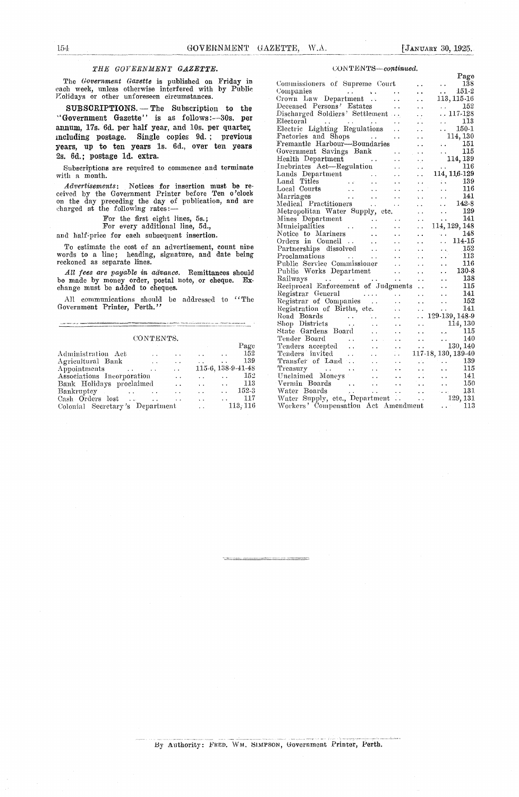.<br>Tana amin'ny fivondrona

### *THE GOVERNMENT GAZETTE.*

The *Government Gazette* is published on Friday in each week, unless otherwise interfered with by Public Molidays or other unforeseen circumstances.

**SUBSCRIPTIONS.** —The Subscription to the "Government Gazette" is as follows:--30s. per annum, 17s. 6d. per half year, and 10s. per quarter, including postage. Single copies 9d. ; previous years, up to ten years 1s. 6d., over ten years 2s. 6d.; postage id. extra.

Subscriptions are required to commence and terminate with a month.

*Advertisements:* Notices for insertion must be received by the Government Printer before Ten o'clock on the day preceding the day of publication, and are harged at the following rates:

For the first eight lines, 5s.;

For every additional line, 5d.,

and half-price for each subsequent insertion.

To estimate the cost of an advertisement, count nine words to a line; heading, signature, and date being reckoned as separate lines.

*All fees are payable in advance.* Remittances should be made by money order, postal note, or cheque. Ex. change must be added to cheques.

All communications should be addressed to "The Government Printer, Perth."

### CONTENTS.

|                                      | CONTENTS.    |                      |                      |                      |                    |
|--------------------------------------|--------------|----------------------|----------------------|----------------------|--------------------|
|                                      |              |                      |                      |                      | Page               |
| Administration Act                   |              |                      |                      |                      | 152                |
| Agricultural Bank                    | $\mathbf{r}$ | $\ddot{\phantom{0}}$ |                      |                      | 139                |
| Appointments<br>$\ddot{\phantom{a}}$ |              | $\mathbf{r}$         |                      |                      | 115-6, 138-9-41-48 |
| Associations Incorporation           |              | $\ddot{\phantom{0}}$ |                      |                      | 152                |
| Bank Holidays proclaimed             |              | $\ddot{\phantom{0}}$ |                      | $\ddot{\phantom{a}}$ | 113                |
| Bankruptey                           |              |                      | $\mathbf{r}$         | $\ddot{\phantom{a}}$ | 152-3              |
| Cash Orders lost<br>$\sim$ $\sim$    |              |                      |                      |                      | 117                |
| Colonial Secretary's Department      |              |                      | $\ddot{\phantom{a}}$ |                      | 113, 116           |

### COiN *TENTS—continued.*

|                                                                                           |                                              |                                              | Page                                                                                      |
|-------------------------------------------------------------------------------------------|----------------------------------------------|----------------------------------------------|-------------------------------------------------------------------------------------------|
| Commissioners of Supreme Court                                                            |                                              |                                              | $\ldots$ 138                                                                              |
| Companies                                                                                 |                                              | $\ddot{\phantom{0}}$                         | $\ddotsc$<br>$151-2$                                                                      |
| Companies<br>Crown Law Department                                                         | $\ddot{\phantom{0}}$                         | Ξ.                                           | 113, 115-16                                                                               |
| Deceased Persons' Estates                                                                 | $\ddot{\phantom{0}}$                         | $\ddot{\phantom{0}}$                         | 152<br>$\mathcal{L}(\mathcal{L})$ .                                                       |
| Discharged Soldiers' Settlement                                                           |                                              | Ω.                                           | $\ldots\, 117$ -128                                                                       |
| Electoral                                                                                 | $\ddot{\phantom{a}}$                         | 24                                           | $\ldots$ 113                                                                              |
| Electric Lighting Regulations                                                             | $\ddot{\phantom{0}}$                         | $\ddot{\phantom{a}}$                         | $\frac{150-1}{2}$                                                                         |
|                                                                                           | . .                                          | $\ddot{\phantom{0}}$                         | 114, 130                                                                                  |
| Factories and Shops<br>Fremantle Harbour—Boundaries                                       |                                              | . .                                          | $\ldots$ 151                                                                              |
| Government Savings Bank                                                                   | . .                                          | $\ddot{\phantom{0}}$                         | $\mathbf{G}$<br>115                                                                       |
| Health Department                                                                         | . .                                          | ٠,                                           | 114,139                                                                                   |
| Inebriates Act-Regulation                                                                 | . .                                          | $\ddot{\phantom{a}}$                         |                                                                                           |
|                                                                                           | . .                                          | $\ddot{\phantom{a}}$                         |                                                                                           |
|                                                                                           |                                              | μ,                                           |                                                                                           |
| Lands Department<br>Land Titles<br>Local Courts<br>Marriages<br>Marriages<br>$\mathbf{r}$ | . .                                          | . .                                          | $\therefore$ 139<br>116<br>$\ddotsc$                                                      |
| Marriages<br>$\ddotsc$<br>$\ddot{\phantom{a}}$                                            | . .                                          | $\ddot{\phantom{a}}$<br>v.                   | 141                                                                                       |
| Medical Practitioners<br><b>CALL CO</b>                                                   | . .                                          | $\ddot{\phantom{0}}$                         | $142-8$                                                                                   |
| Metropolitan Water Supply, etc.                                                           |                                              | $\ddot{\phantom{1}}$                         | 129<br>$\ddot{\phantom{0}}$                                                               |
|                                                                                           |                                              |                                              | $\mathbf{1}$<br>141                                                                       |
| Mines Department<br>Municipalities                                                        | $\ddot{\phantom{0}}$<br>$\ddot{\phantom{0}}$ | $\ddot{\phantom{0}}$<br>$\ddot{\phantom{0}}$ | 114, 129, 148                                                                             |
| Notice to Mariners<br>$\ddot{\phantom{a}}$                                                | $\ddot{\phantom{0}}$                         |                                              | $\ldots$ 148                                                                              |
| Orders in Council<br>$\ddot{\phantom{a}}$                                                 |                                              | . .                                          | 114-15<br>$\ddot{\phantom{a}}$                                                            |
|                                                                                           | $\ddot{\phantom{0}}$                         | $\ddot{\phantom{0}}$                         |                                                                                           |
| Partnerships dissolved<br>Proclamations                                                   | . .                                          | $\ddot{\phantom{a}}$                         | $\frac{152}{113}$                                                                         |
| $\sim$ $\sim$<br>Public Service Commissioner                                              | . .                                          | . .                                          | 116                                                                                       |
|                                                                                           | $\ddotsc$                                    | . .                                          | $\ddotsc$                                                                                 |
| Public Works Department                                                                   | $\sim$                                       | $\ddot{\phantom{0}}$<br>$\ddot{\phantom{0}}$ | $130-8$<br>138                                                                            |
|                                                                                           | $\ddot{\phantom{a}}$                         | $\ddot{\phantom{a}}$<br>$\ddot{\phantom{0}}$ |                                                                                           |
| Reciprocal Enforcement of Judgments                                                       |                                              | . .<br>$\sim$ $\sim$                         | 115                                                                                       |
| Registrar General                                                                         |                                              | . .<br>$\sim 10^{-11}$                       | 141                                                                                       |
| Registrar of Companies                                                                    | . .                                          | $\mathbf{L}(\mathbf{r})$                     | 152<br>$\ddotsc$                                                                          |
| Registration of Births, etc.                                                              |                                              | $\mathcal{L}(\mathbf{x})$ .                  | 141<br>$\sim 10^{-1}$                                                                     |
| Road Boards<br>Shop Districts                                                             | $\ddot{\phantom{0}}$                         |                                              | $\ldots$ 129-139, 148-9                                                                   |
| $\ddot{\phantom{a}}$                                                                      | $\ddot{\phantom{0}}$                         |                                              |                                                                                           |
| State Gardens Board<br>$\ddot{\phantom{0}}$                                               | $\ddot{\phantom{0}}$                         |                                              | $\begin{array}{cc}\n\cdots & 114,130 \\ \cdots & \cdots & 115\n\end{array}$               |
| Tender Board<br>$\ddot{\phantom{0}}$<br>Tender Board<br>Tenders accepted                  | . .                                          |                                              | $\begin{array}{ccc}\n\cdot & \cdot & \cdot & 140 \\ \cdot & \cdot & 130,140\n\end{array}$ |
| $\ddot{\phantom{a}}$                                                                      | L.                                           |                                              |                                                                                           |
| $\sim 100$<br>Tenders invited<br>$\ddotsc$                                                | $\ddot{\phantom{a}}$                         |                                              | 117-18, 130, 139-40                                                                       |
| Transfer of Land<br>$\ddot{\phantom{a}}$                                                  |                                              |                                              | $\frac{139}{115}$                                                                         |
| Treasury<br>Unclaimed Moneys<br>$\sim 10^{-1}$                                            | . .                                          | o k                                          | 115<br>$\ddotsc$                                                                          |
|                                                                                           | $\ddot{\phantom{0}}$                         | $\ddotsc$                                    | 141<br>$\mathcal{L}(\mathbf{r})$ and $\mathcal{L}(\mathbf{r})$                            |
| Vermin Boards<br>Water Boards                                                             | $\ddot{\phantom{a}}$                         |                                              | $\ddot{\phantom{a}}$<br>150                                                               |
| $\sim 10^{-1}$                                                                            |                                              | $\sim 10^{-11}$                              | $\frac{131}{129,131}$                                                                     |
|                                                                                           |                                              |                                              |                                                                                           |
| Workers' Compensation Act Amendment                                                       |                                              |                                              | $\cdots$ 113                                                                              |

.<br>The first service of the first

By Authority: FRED. WM. SIMPSON, Government Printer, Perth.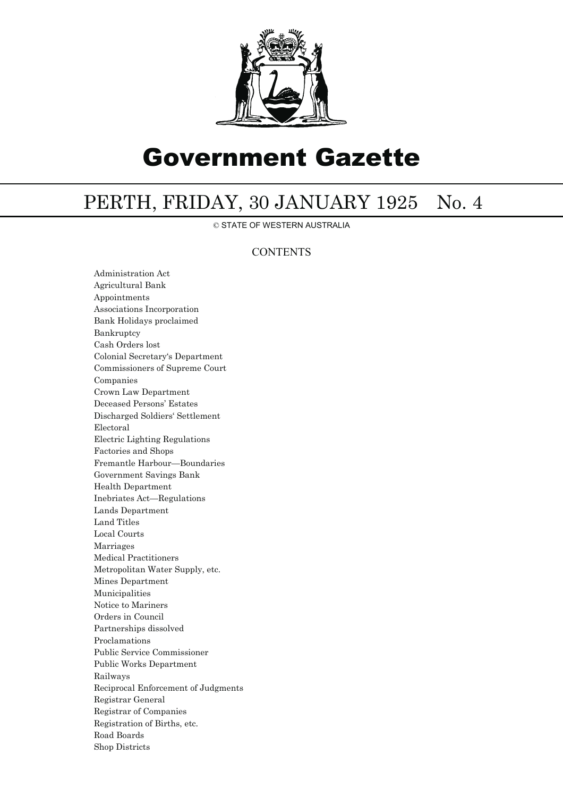

# Government Gazette

## PERTH, FRIDAY, 30 JANUARY 1925 No. 4

© STATE OF WESTERN AUSTRALIA

### **CONTENTS**

Administration Act Agricultural Bank Appointments Associations Incorporation Bank Holidays proclaimed Bankruptcy Cash Orders lost Colonial Secretary's Department Commissioners of Supreme Court Companies Crown Law Department Deceased Persons' Estates Discharged Soldiers' Settlement Electoral Electric Lighting Regulations Factories and Shops Fremantle Harbour—Boundaries Government Savings Bank Health Department Inebriates Act—Regulations Lands Department Land Titles Local Courts Marriages Medical Practitioners Metropolitan Water Supply, etc. Mines Department Municipalities Notice to Mariners Orders in Council Partnerships dissolved Proclamations Public Service Commissioner Public Works Department Railways Reciprocal Enforcement of Judgments Registrar General Registrar of Companies Registration of Births, etc. Road Boards Shop Districts